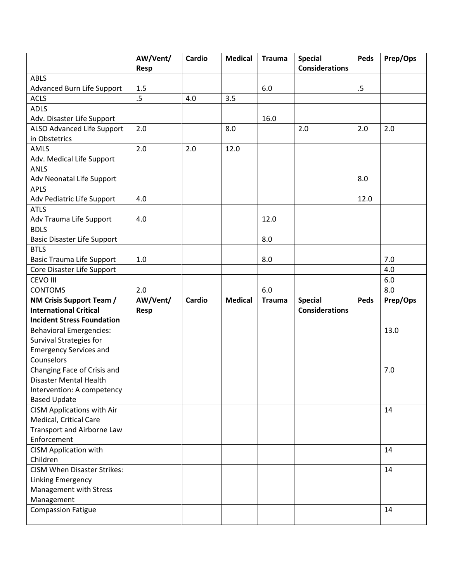|                                                       | AW/Vent/ | <b>Cardio</b> | <b>Medical</b> | <b>Trauma</b> | <b>Special</b>        | <b>Peds</b> | Prep/Ops |
|-------------------------------------------------------|----------|---------------|----------------|---------------|-----------------------|-------------|----------|
|                                                       | Resp     |               |                |               | <b>Considerations</b> |             |          |
| <b>ABLS</b>                                           |          |               |                |               |                       |             |          |
| <b>Advanced Burn Life Support</b>                     | 1.5      |               |                | 6.0           |                       | $.5\,$      |          |
| <b>ACLS</b>                                           | $.5\,$   | 4.0           | 3.5            |               |                       |             |          |
| <b>ADLS</b>                                           |          |               |                |               |                       |             |          |
| Adv. Disaster Life Support                            |          |               |                | 16.0          |                       |             |          |
| ALSO Advanced Life Support                            | 2.0      |               | 8.0            |               | 2.0                   | 2.0         | 2.0      |
| in Obstetrics                                         |          |               |                |               |                       |             |          |
| AMLS                                                  | 2.0      | 2.0           | 12.0           |               |                       |             |          |
| Adv. Medical Life Support                             |          |               |                |               |                       |             |          |
| <b>ANLS</b>                                           |          |               |                |               |                       |             |          |
| Adv Neonatal Life Support                             |          |               |                |               |                       | 8.0         |          |
| <b>APLS</b>                                           |          |               |                |               |                       |             |          |
| Adv Pediatric Life Support                            | 4.0      |               |                |               |                       | 12.0        |          |
| <b>ATLS</b>                                           |          |               |                |               |                       |             |          |
| Adv Trauma Life Support                               | 4.0      |               |                | 12.0          |                       |             |          |
| <b>BDLS</b>                                           |          |               |                |               |                       |             |          |
| <b>Basic Disaster Life Support</b>                    |          |               |                | 8.0           |                       |             |          |
| <b>BTLS</b>                                           |          |               |                |               |                       |             |          |
| <b>Basic Trauma Life Support</b>                      | $1.0$    |               |                | 8.0           |                       |             | 7.0      |
| Core Disaster Life Support                            |          |               |                |               |                       |             | 4.0      |
| CEVO III                                              |          |               |                |               |                       |             | 6.0      |
| <b>CONTOMS</b>                                        | 2.0      |               |                | 6.0           |                       |             | 8.0      |
| NM Crisis Support Team /                              | AW/Vent/ | <b>Cardio</b> | <b>Medical</b> | <b>Trauma</b> | <b>Special</b>        | <b>Peds</b> | Prep/Ops |
| <b>International Critical</b>                         | Resp     |               |                |               | <b>Considerations</b> |             |          |
| <b>Incident Stress Foundation</b>                     |          |               |                |               |                       |             |          |
| <b>Behavioral Emergencies:</b>                        |          |               |                |               |                       |             | 13.0     |
| Survival Strategies for                               |          |               |                |               |                       |             |          |
| <b>Emergency Services and</b><br>Counselors           |          |               |                |               |                       |             |          |
|                                                       |          |               |                |               |                       |             | 7.0      |
| Changing Face of Crisis and<br>Disaster Mental Health |          |               |                |               |                       |             |          |
| Intervention: A competency                            |          |               |                |               |                       |             |          |
| <b>Based Update</b>                                   |          |               |                |               |                       |             |          |
| <b>CISM Applications with Air</b>                     |          |               |                |               |                       |             | 14       |
| Medical, Critical Care                                |          |               |                |               |                       |             |          |
| Transport and Airborne Law                            |          |               |                |               |                       |             |          |
| Enforcement                                           |          |               |                |               |                       |             |          |
| <b>CISM Application with</b>                          |          |               |                |               |                       |             | 14       |
| Children                                              |          |               |                |               |                       |             |          |
| <b>CISM When Disaster Strikes:</b>                    |          |               |                |               |                       |             | 14       |
| <b>Linking Emergency</b>                              |          |               |                |               |                       |             |          |
| Management with Stress                                |          |               |                |               |                       |             |          |
| Management                                            |          |               |                |               |                       |             |          |
| <b>Compassion Fatigue</b>                             |          |               |                |               |                       |             | 14       |
|                                                       |          |               |                |               |                       |             |          |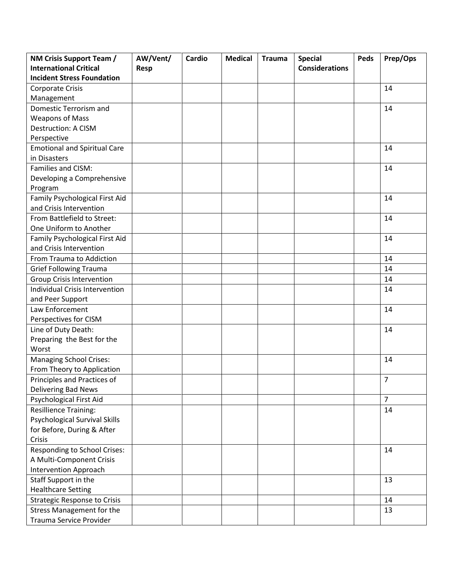| NM Crisis Support Team /              | AW/Vent/    | Cardio | <b>Medical</b> | <b>Trauma</b> | <b>Special</b>        | Peds | Prep/Ops       |
|---------------------------------------|-------------|--------|----------------|---------------|-----------------------|------|----------------|
| <b>International Critical</b>         | <b>Resp</b> |        |                |               | <b>Considerations</b> |      |                |
| <b>Incident Stress Foundation</b>     |             |        |                |               |                       |      |                |
| <b>Corporate Crisis</b>               |             |        |                |               |                       |      | 14             |
| Management                            |             |        |                |               |                       |      |                |
| Domestic Terrorism and                |             |        |                |               |                       |      | 14             |
| <b>Weapons of Mass</b>                |             |        |                |               |                       |      |                |
| Destruction: A CISM                   |             |        |                |               |                       |      |                |
| Perspective                           |             |        |                |               |                       |      |                |
| <b>Emotional and Spiritual Care</b>   |             |        |                |               |                       |      | 14             |
| in Disasters                          |             |        |                |               |                       |      |                |
| Families and CISM:                    |             |        |                |               |                       |      | 14             |
| Developing a Comprehensive            |             |        |                |               |                       |      |                |
| Program                               |             |        |                |               |                       |      |                |
| Family Psychological First Aid        |             |        |                |               |                       |      | 14             |
| and Crisis Intervention               |             |        |                |               |                       |      |                |
| From Battlefield to Street:           |             |        |                |               |                       |      | 14             |
| One Uniform to Another                |             |        |                |               |                       |      |                |
| Family Psychological First Aid        |             |        |                |               |                       |      | 14             |
| and Crisis Intervention               |             |        |                |               |                       |      |                |
| From Trauma to Addiction              |             |        |                |               |                       |      | 14             |
| <b>Grief Following Trauma</b>         |             |        |                |               |                       |      | 14             |
| <b>Group Crisis Intervention</b>      |             |        |                |               |                       |      | 14             |
| <b>Individual Crisis Intervention</b> |             |        |                |               |                       |      | 14             |
| and Peer Support                      |             |        |                |               |                       |      |                |
| Law Enforcement                       |             |        |                |               |                       |      | 14             |
| Perspectives for CISM                 |             |        |                |               |                       |      |                |
| Line of Duty Death:                   |             |        |                |               |                       |      | 14             |
| Preparing the Best for the            |             |        |                |               |                       |      |                |
| Worst                                 |             |        |                |               |                       |      |                |
| <b>Managing School Crises:</b>        |             |        |                |               |                       |      | 14             |
| From Theory to Application            |             |        |                |               |                       |      |                |
| Principles and Practices of           |             |        |                |               |                       |      | $\overline{7}$ |
| Delivering Bad News                   |             |        |                |               |                       |      |                |
| Psychological First Aid               |             |        |                |               |                       |      | $\overline{7}$ |
| <b>Resillience Training:</b>          |             |        |                |               |                       |      | 14             |
| <b>Psychological Survival Skills</b>  |             |        |                |               |                       |      |                |
| for Before, During & After            |             |        |                |               |                       |      |                |
| Crisis                                |             |        |                |               |                       |      |                |
| Responding to School Crises:          |             |        |                |               |                       |      | 14             |
| A Multi-Component Crisis              |             |        |                |               |                       |      |                |
| <b>Intervention Approach</b>          |             |        |                |               |                       |      |                |
| Staff Support in the                  |             |        |                |               |                       |      | 13             |
| <b>Healthcare Setting</b>             |             |        |                |               |                       |      |                |
| <b>Strategic Response to Crisis</b>   |             |        |                |               |                       |      | 14             |
| <b>Stress Management for the</b>      |             |        |                |               |                       |      | 13             |
| Trauma Service Provider               |             |        |                |               |                       |      |                |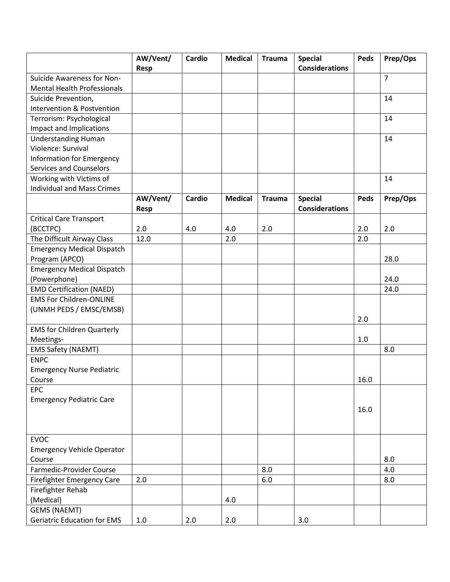|                                       | AW/Vent/<br>Resp | <b>Cardio</b> | <b>Medical</b> | <b>Trauma</b> | <b>Special</b><br><b>Considerations</b> | <b>Peds</b> | Prep/Ops       |
|---------------------------------------|------------------|---------------|----------------|---------------|-----------------------------------------|-------------|----------------|
| Suicide Awareness for Non-            |                  |               |                |               |                                         |             | $\overline{7}$ |
| <b>Mental Health Professionals</b>    |                  |               |                |               |                                         |             |                |
| Suicide Prevention,                   |                  |               |                |               |                                         |             | 14             |
| <b>Intervention &amp; Postvention</b> |                  |               |                |               |                                         |             |                |
| Terrorism: Psychological              |                  |               |                |               |                                         |             | 14             |
| Impact and Implications               |                  |               |                |               |                                         |             |                |
| <b>Understanding Human</b>            |                  |               |                |               |                                         |             | 14             |
| Violence: Survival                    |                  |               |                |               |                                         |             |                |
| <b>Information for Emergency</b>      |                  |               |                |               |                                         |             |                |
| <b>Services and Counselors</b>        |                  |               |                |               |                                         |             |                |
| Working with Victims of               |                  |               |                |               |                                         |             | 14             |
| <b>Individual and Mass Crimes</b>     |                  |               |                |               |                                         |             |                |
|                                       | AW/Vent/<br>Resp | Cardio        | <b>Medical</b> | <b>Trauma</b> | <b>Special</b><br><b>Considerations</b> | Peds        | Prep/Ops       |
| <b>Critical Care Transport</b>        |                  |               |                |               |                                         |             |                |
| (BCCTPC)                              | 2.0              | 4.0           | 4.0            | 2.0           |                                         | 2.0         | 2.0            |
| The Difficult Airway Class            | 12.0             |               | 2.0            |               |                                         | 2.0         |                |
| <b>Emergency Medical Dispatch</b>     |                  |               |                |               |                                         |             |                |
| Program (APCO)                        |                  |               |                |               |                                         |             | 28.0           |
| <b>Emergency Medical Dispatch</b>     |                  |               |                |               |                                         |             |                |
| (Powerphone)                          |                  |               |                |               |                                         |             | 24.0           |
| <b>EMD Certification (NAED)</b>       |                  |               |                |               |                                         |             | 24.0           |
| <b>EMS For Children-ONLINE</b>        |                  |               |                |               |                                         |             |                |
| (UNMH PEDS / EMSC/EMSB)               |                  |               |                |               |                                         |             |                |
|                                       |                  |               |                |               |                                         | 2.0         |                |
| <b>EMS for Children Quarterly</b>     |                  |               |                |               |                                         |             |                |
| Meetings-                             |                  |               |                |               |                                         | 1.0         |                |
| <b>EMS Safety (NAEMT)</b>             |                  |               |                |               |                                         |             | 8.0            |
| <b>ENPC</b>                           |                  |               |                |               |                                         |             |                |
| <b>Emergency Nurse Pediatric</b>      |                  |               |                |               |                                         |             |                |
| Course                                |                  |               |                |               |                                         | 16.0        |                |
| <b>EPC</b>                            |                  |               |                |               |                                         |             |                |
| <b>Emergency Pediatric Care</b>       |                  |               |                |               |                                         |             |                |
|                                       |                  |               |                |               |                                         | 16.0        |                |
|                                       |                  |               |                |               |                                         |             |                |
| <b>EVOC</b>                           |                  |               |                |               |                                         |             |                |
| <b>Emergency Vehicle Operator</b>     |                  |               |                |               |                                         |             |                |
| Course                                |                  |               |                |               |                                         |             | 8.0            |
| Farmedic-Provider Course              |                  |               |                | 8.0           |                                         |             | 4.0            |
| Firefighter Emergency Care            | 2.0              |               |                | $6.0\,$       |                                         |             | 8.0            |
| Firefighter Rehab                     |                  |               |                |               |                                         |             |                |
| (Medical)                             |                  |               | 4.0            |               |                                         |             |                |
| <b>GEMS (NAEMT)</b>                   |                  |               |                |               |                                         |             |                |
| <b>Geriatric Education for EMS</b>    | 1.0              | 2.0           | 2.0            |               | 3.0                                     |             |                |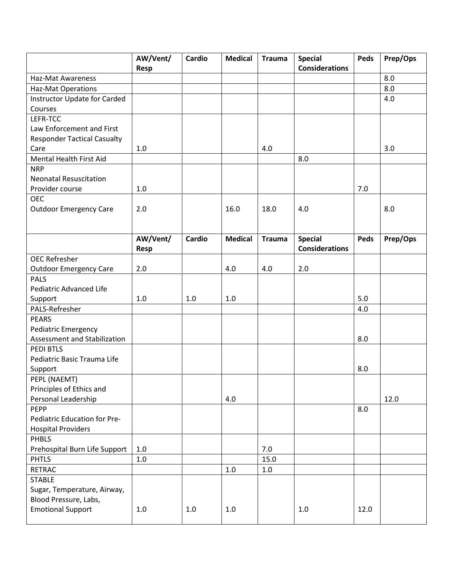|                                     | AW/Vent/    | Cardio        | <b>Medical</b> | <b>Trauma</b> | <b>Special</b>        | Peds | Prep/Ops |
|-------------------------------------|-------------|---------------|----------------|---------------|-----------------------|------|----------|
|                                     | Resp        |               |                |               | <b>Considerations</b> |      |          |
| <b>Haz-Mat Awareness</b>            |             |               |                |               |                       |      | 8.0      |
| <b>Haz-Mat Operations</b>           |             |               |                |               |                       |      | 8.0      |
| <b>Instructor Update for Carded</b> |             |               |                |               |                       |      | 4.0      |
| Courses                             |             |               |                |               |                       |      |          |
| LEFR-TCC                            |             |               |                |               |                       |      |          |
| Law Enforcement and First           |             |               |                |               |                       |      |          |
| <b>Responder Tactical Casualty</b>  |             |               |                |               |                       |      |          |
| Care                                | 1.0         |               |                | 4.0           |                       |      | 3.0      |
| Mental Health First Aid             |             |               |                |               | 8.0                   |      |          |
| <b>NRP</b>                          |             |               |                |               |                       |      |          |
| <b>Neonatal Resuscitation</b>       |             |               |                |               |                       |      |          |
| Provider course                     | 1.0         |               |                |               |                       | 7.0  |          |
| <b>OEC</b>                          |             |               |                |               |                       |      |          |
| <b>Outdoor Emergency Care</b>       | 2.0         |               | 16.0           | 18.0          | 4.0                   |      | 8.0      |
|                                     |             |               |                |               |                       |      |          |
|                                     |             |               |                |               |                       |      |          |
|                                     | AW/Vent/    | <b>Cardio</b> | <b>Medical</b> | <b>Trauma</b> | <b>Special</b>        | Peds | Prep/Ops |
|                                     | <b>Resp</b> |               |                |               | <b>Considerations</b> |      |          |
| <b>OEC Refresher</b>                |             |               |                |               |                       |      |          |
| <b>Outdoor Emergency Care</b>       | 2.0         |               | 4.0            | 4.0           | 2.0                   |      |          |
| <b>PALS</b>                         |             |               |                |               |                       |      |          |
| Pediatric Advanced Life             |             |               |                |               |                       |      |          |
| Support                             | 1.0         | 1.0           | 1.0            |               |                       | 5.0  |          |
| PALS-Refresher                      |             |               |                |               |                       | 4.0  |          |
| <b>PEARS</b>                        |             |               |                |               |                       |      |          |
| <b>Pediatric Emergency</b>          |             |               |                |               |                       |      |          |
| Assessment and Stabilization        |             |               |                |               |                       | 8.0  |          |
| PEDI BTLS                           |             |               |                |               |                       |      |          |
| Pediatric Basic Trauma Life         |             |               |                |               |                       |      |          |
| Support                             |             |               |                |               |                       | 8.0  |          |
| PEPL (NAEMT)                        |             |               |                |               |                       |      |          |
| Principles of Ethics and            |             |               |                |               |                       |      |          |
| Personal Leadership                 |             |               | 4.0            |               |                       |      | 12.0     |
| <b>PEPP</b>                         |             |               |                |               |                       | 8.0  |          |
| Pediatric Education for Pre-        |             |               |                |               |                       |      |          |
| <b>Hospital Providers</b>           |             |               |                |               |                       |      |          |
| <b>PHBLS</b>                        |             |               |                |               |                       |      |          |
| Prehospital Burn Life Support       | 1.0         |               |                | 7.0           |                       |      |          |
| <b>PHTLS</b>                        | 1.0         |               |                | 15.0          |                       |      |          |
| <b>RETRAC</b>                       |             |               | $1.0\,$        | 1.0           |                       |      |          |
| <b>STABLE</b>                       |             |               |                |               |                       |      |          |
| Sugar, Temperature, Airway,         |             |               |                |               |                       |      |          |
| Blood Pressure, Labs,               |             |               |                |               |                       |      |          |
| <b>Emotional Support</b>            | 1.0         | $1.0\,$       | $1.0\,$        |               | 1.0                   | 12.0 |          |
|                                     |             |               |                |               |                       |      |          |